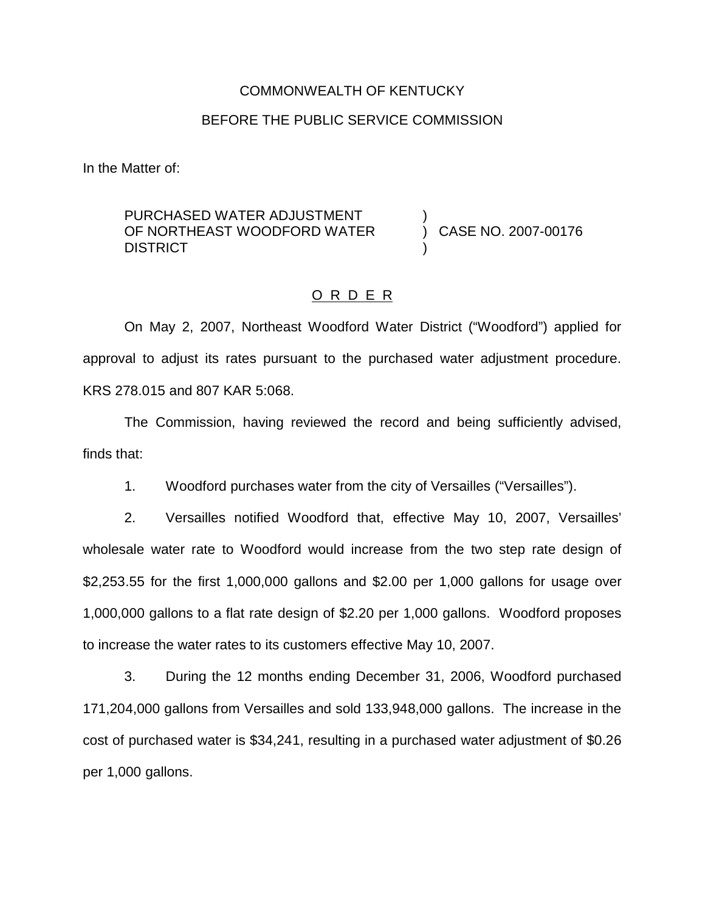#### COMMONWEALTH OF KENTUCKY

#### BEFORE THE PUBLIC SERVICE COMMISSION

In the Matter of:

## PURCHASED WATER ADJUSTMENT OF NORTHEAST WOODFORD WATER **DISTRICT**

) CASE NO. 2007-00176

)

)

### O R D E R

On May 2, 2007, Northeast Woodford Water District ("Woodford") applied for approval to adjust its rates pursuant to the purchased water adjustment procedure. KRS 278.015 and 807 KAR 5:068.

The Commission, having reviewed the record and being sufficiently advised, finds that:

1. Woodford purchases water from the city of Versailles ("Versailles").

2. Versailles notified Woodford that, effective May 10, 2007, Versailles' wholesale water rate to Woodford would increase from the two step rate design of \$2,253.55 for the first 1,000,000 gallons and \$2.00 per 1,000 gallons for usage over 1,000,000 gallons to a flat rate design of \$2.20 per 1,000 gallons. Woodford proposes to increase the water rates to its customers effective May 10, 2007.

3. During the 12 months ending December 31, 2006, Woodford purchased 171,204,000 gallons from Versailles and sold 133,948,000 gallons. The increase in the cost of purchased water is \$34,241, resulting in a purchased water adjustment of \$0.26 per 1,000 gallons.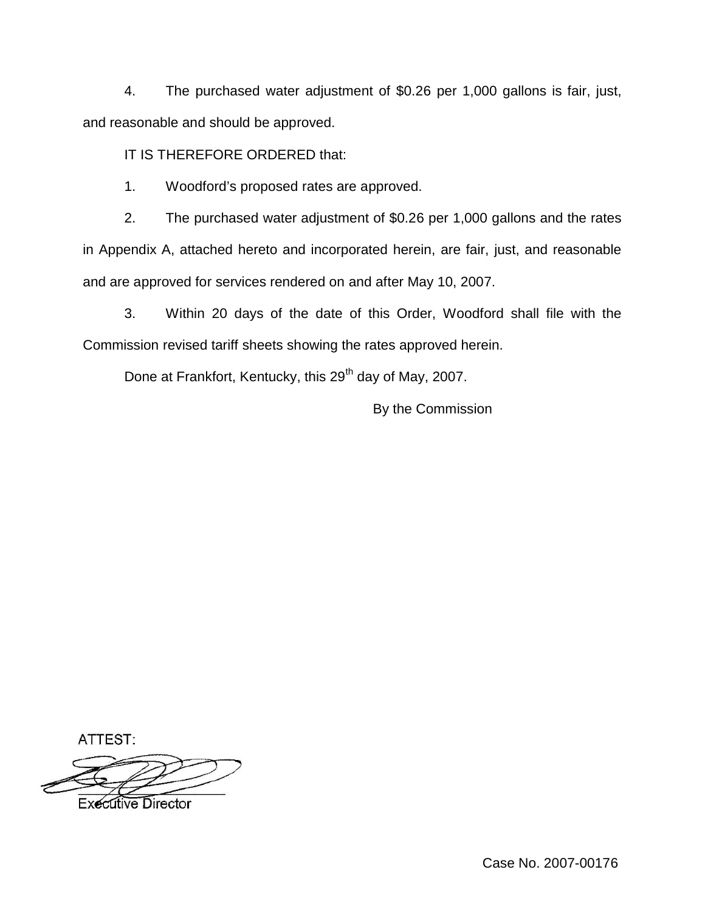4. The purchased water adjustment of \$0.26 per 1,000 gallons is fair, just, and reasonable and should be approved.

# IT IS THEREFORE ORDERED that:

1. Woodford's proposed rates are approved.

2. The purchased water adjustment of \$0.26 per 1,000 gallons and the rates in Appendix A, attached hereto and incorporated herein, are fair, just, and reasonable and are approved for services rendered on and after May 10, 2007.

3. Within 20 days of the date of this Order, Woodford shall file with the Commission revised tariff sheets showing the rates approved herein.

Done at Frankfort, Kentucky, this 29<sup>th</sup> day of May, 2007.

By the Commission

ATTEST:

**Executive Director**